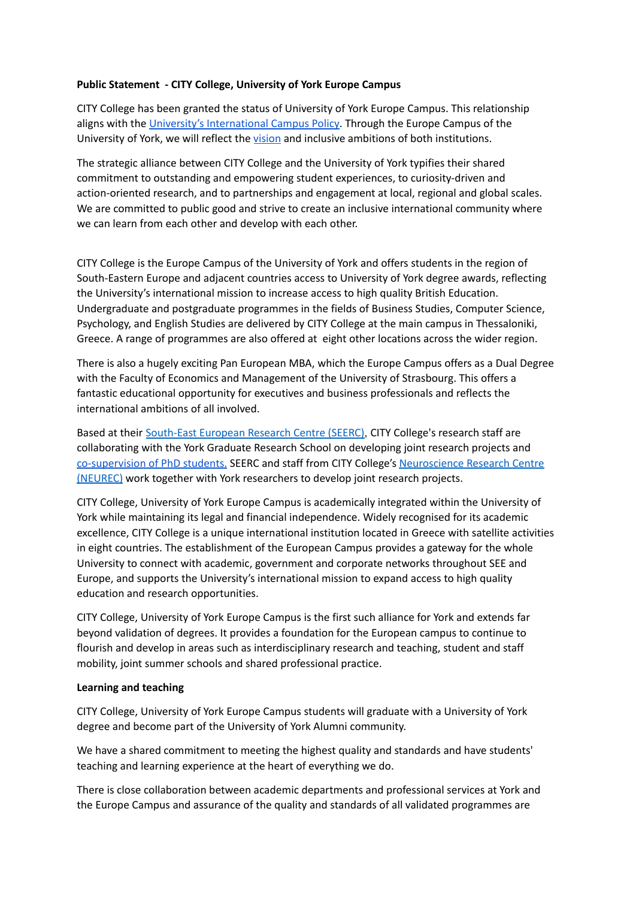## **Public Statement - CITY College, University of York Europe Campus**

CITY College has been granted the status of University of York Europe Campus. This relationship aligns with the University's [International](https://www.york.ac.uk/media/abouttheuniversity/governanceandmanagement/governance/International-Campus-Policy.pdf) Campus Policy. Through the Europe Campus of the University of York, we will reflect the [vision](https://www.york.ac.uk/about/mission-strategies/vision-for-york/) and inclusive ambitions of both institutions.

The strategic alliance between CITY College and the University of York typifies their shared commitment to outstanding and empowering student experiences, to curiosity-driven and action-oriented research, and to partnerships and engagement at local, regional and global scales. We are committed to public good and strive to create an inclusive international community where we can learn from each other and develop with each other.

CITY College is the Europe Campus of the University of York and offers students in the region of South-Eastern Europe and adjacent countries access to University of York degree awards, reflecting the University's international mission to increase access to high quality British Education. Undergraduate and postgraduate programmes in the fields of Business Studies, Computer Science, Psychology, and English Studies are delivered by CITY College at the main campus in Thessaloniki, Greece. A range of programmes are also offered at eight other locations across the wider region.

There is also a hugely exciting Pan European MBA, which the Europe Campus offers as a Dual Degree with the Faculty of Economics and Management of the University of Strasbourg. This offers a fantastic educational opportunity for executives and business professionals and reflects the international ambitions of all involved.

Based at their [South-East](https://www.seerc.org/new/) European Research Centre (SEERC), CITY College's research staff are collaborating with the York Graduate Research School on developing joint research projects and [co-supervision](https://www.york.ac.uk/global/globalpartnerships/europe-campus-city-college/york-seerc-phd/) of PhD students. SEERC and staff from CITY College's [Neuroscience](https://york.citycollege.eu/frontend/articles.php?cid=459&t=Neuroscience-Research-Centre-NEUREC) Research Centre [\(NEUREC\)](https://york.citycollege.eu/frontend/articles.php?cid=459&t=Neuroscience-Research-Centre-NEUREC) work together with York researchers to develop joint research projects.

CITY College, University of York Europe Campus is academically integrated within the University of York while maintaining its legal and financial independence. Widely recognised for its academic excellence, CITY College is a unique international institution located in Greece with satellite activities in eight countries. The establishment of the European Campus provides a gateway for the whole University to connect with academic, government and corporate networks throughout SEE and Europe, and supports the University's international mission to expand access to high quality education and research opportunities.

CITY College, University of York Europe Campus is the first such alliance for York and extends far beyond validation of degrees. It provides a foundation for the European campus to continue to flourish and develop in areas such as interdisciplinary research and teaching, student and staff mobility, joint summer schools and shared professional practice.

### **Learning and teaching**

CITY College, University of York Europe Campus students will graduate with a University of York degree and become part of the University of York Alumni community.

We have a shared commitment to meeting the highest quality and standards and have students' teaching and learning experience at the heart of everything we do.

There is close collaboration between academic departments and professional services at York and the Europe Campus and assurance of the quality and standards of all validated programmes are